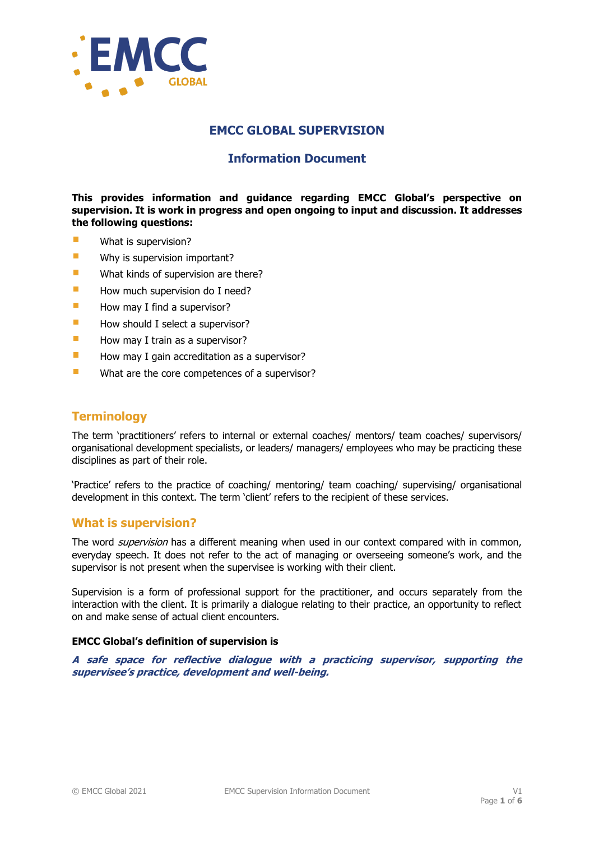

## **EMCC GLOBAL SUPERVISION**

# **Information Document**

**This provides information and guidance regarding EMCC Global's perspective on supervision. It is work in progress and open ongoing to input and discussion. It addresses the following questions:**

- $\overline{\phantom{a}}$ What is supervision?
- $\overline{\phantom{a}}$ Why is supervision important?
- $\overline{\phantom{a}}$ What kinds of supervision are there?
- $\Box$ How much supervision do I need?
- $\blacksquare$ How may I find a supervisor?
- $\blacksquare$ How should I select a supervisor?
- $\mathbf{r}$ How may I train as a supervisor?
- $\mathbf{r}$ How may I gain accreditation as a supervisor?
- $\overline{\phantom{a}}$ What are the core competences of a supervisor?

# **Terminology**

The term 'practitioners' refers to internal or external coaches/ mentors/ team coaches/ supervisors/ organisational development specialists, or leaders/ managers/ employees who may be practicing these disciplines as part of their role.

'Practice' refers to the practice of coaching/ mentoring/ team coaching/ supervising/ organisational development in this context. The term 'client' refers to the recipient of these services.

## **What is supervision?**

The word *supervision* has a different meaning when used in our context compared with in common, everyday speech. It does not refer to the act of managing or overseeing someone's work, and the supervisor is not present when the supervisee is working with their client.

Supervision is a form of professional support for the practitioner, and occurs separately from the interaction with the client. It is primarily a dialogue relating to their practice, an opportunity to reflect on and make sense of actual client encounters.

### **EMCC Global's definition of supervision is**

**A safe space for reflective dialogue with a practicing supervisor, supporting the supervisee's practice, development and well-being.**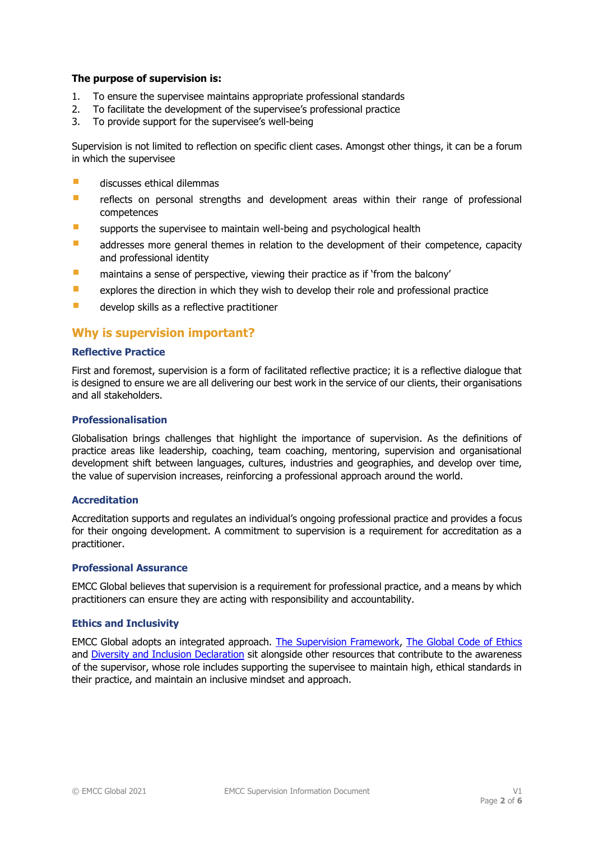### **The purpose of supervision is:**

- 1. To ensure the supervisee maintains appropriate professional standards
- 2. To facilitate the development of the supervisee's professional practice
- 3. To provide support for the supervisee's well-being

Supervision is not limited to reflection on specific client cases. Amongst other things, it can be a forum in which the supervisee

- $\overline{\phantom{a}}$ discusses ethical dilemmas
- $\overline{\phantom{a}}$ reflects on personal strengths and development areas within their range of professional competences
- $\mathcal{C}$ supports the supervisee to maintain well-being and psychological health
- $\mathcal{C}^{\mathcal{A}}$ addresses more general themes in relation to the development of their competence, capacity and professional identity
- $\overline{\phantom{a}}$ maintains a sense of perspective, viewing their practice as if 'from the balcony'
- $\Box$ explores the direction in which they wish to develop their role and professional practice
- $\mathcal{C}^{\mathcal{A}}$ develop skills as a reflective practitioner

## **Why is supervision important?**

#### **Reflective Practice**

First and foremost, supervision is a form of facilitated reflective practice; it is a reflective dialogue that is designed to ensure we are all delivering our best work in the service of our clients, their organisations and all stakeholders.

#### **Professionalisation**

Globalisation brings challenges that highlight the importance of supervision. As the definitions of practice areas like leadership, coaching, team coaching, mentoring, supervision and organisational development shift between languages, cultures, industries and geographies, and develop over time, the value of supervision increases, reinforcing a professional approach around the world.

### **Accreditation**

Accreditation supports and regulates an individual's ongoing professional practice and provides a focus for their ongoing development. A commitment to supervision is a requirement for accreditation as a practitioner.

#### **Professional Assurance**

EMCC Global believes that supervision is a requirement for professional practice, and a means by which practitioners can ensure they are acting with responsibility and accountability.

#### **Ethics and Inclusivity**

EMCC Global adopts an integrated approach. [The Supervision Framework,](https://www.emccbooks.org/product/supervision-competences) [The Global Code of Ethics](http://www.emccouncil.org/src/ultimo/models/Download/4.pdf) and [Diversity and Inclusion Declaration](https://www.emccglobal.org/quality/diversity/) sit alongside other resources that contribute to the awareness of the supervisor, whose role includes supporting the supervisee to maintain high, ethical standards in their practice, and maintain an inclusive mindset and approach.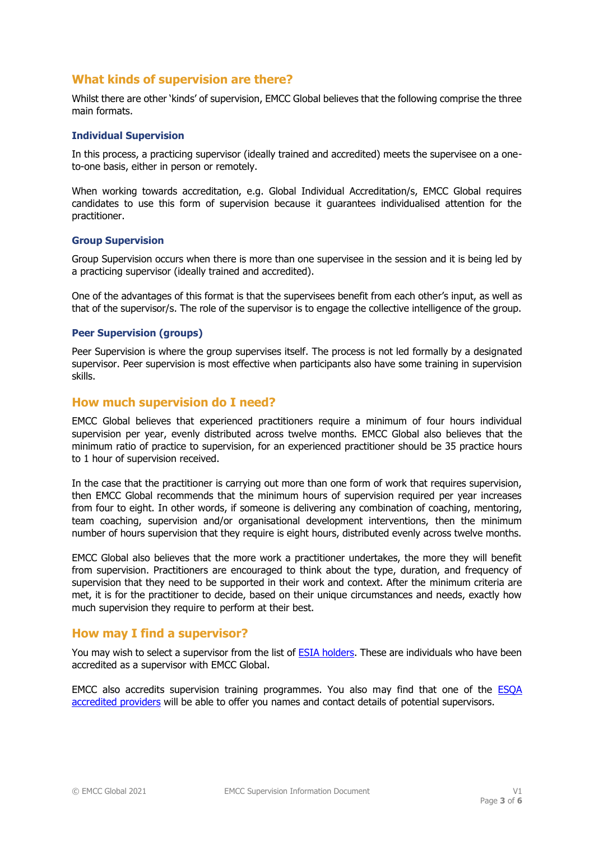# **What kinds of supervision are there?**

Whilst there are other 'kinds' of supervision, EMCC Global believes that the following comprise the three main formats.

#### **Individual Supervision**

In this process, a practicing supervisor (ideally trained and accredited) meets the supervisee on a oneto-one basis, either in person or remotely.

When working towards accreditation, e.g. Global Individual Accreditation/s, EMCC Global requires candidates to use this form of supervision because it guarantees individualised attention for the practitioner.

#### **Group Supervision**

Group Supervision occurs when there is more than one supervisee in the session and it is being led by a practicing supervisor (ideally trained and accredited).

One of the advantages of this format is that the supervisees benefit from each other's input, as well as that of the supervisor/s. The role of the supervisor is to engage the collective intelligence of the group.

### **Peer Supervision (groups)**

Peer Supervision is where the group supervises itself. The process is not led formally by a designated supervisor. Peer supervision is most effective when participants also have some training in supervision skills.

### **How much supervision do I need?**

EMCC Global believes that experienced practitioners require a minimum of four hours individual supervision per year, evenly distributed across twelve months. EMCC Global also believes that the minimum ratio of practice to supervision, for an experienced practitioner should be 35 practice hours to 1 hour of supervision received.

In the case that the practitioner is carrying out more than one form of work that requires supervision, then EMCC Global recommends that the minimum hours of supervision required per year increases from four to eight. In other words, if someone is delivering any combination of coaching, mentoring, team coaching, supervision and/or organisational development interventions, then the minimum number of hours supervision that they require is eight hours, distributed evenly across twelve months.

EMCC Global also believes that the more work a practitioner undertakes, the more they will benefit from supervision. Practitioners are encouraged to think about the type, duration, and frequency of supervision that they need to be supported in their work and context. After the minimum criteria are met, it is for the practitioner to decide, based on their unique circumstances and needs, exactly how much supervision they require to perform at their best.

## **How may I find a supervisor?**

You may wish to select a supervisor from the list of [ESIA holders.](http://www.emccouncil.org/webimages/EU/ESIA/EMCC_ESIA_award_holders.pdf) These are individuals who have been accredited as a supervisor with EMCC Global.

EMCC also accredits supervision training programmes. You also may find that one of the **ESQA** [accredited providers](https://www.emccglobal.org/accreditation/esqa/esqa-awards/) will be able to offer you names and contact details of potential supervisors.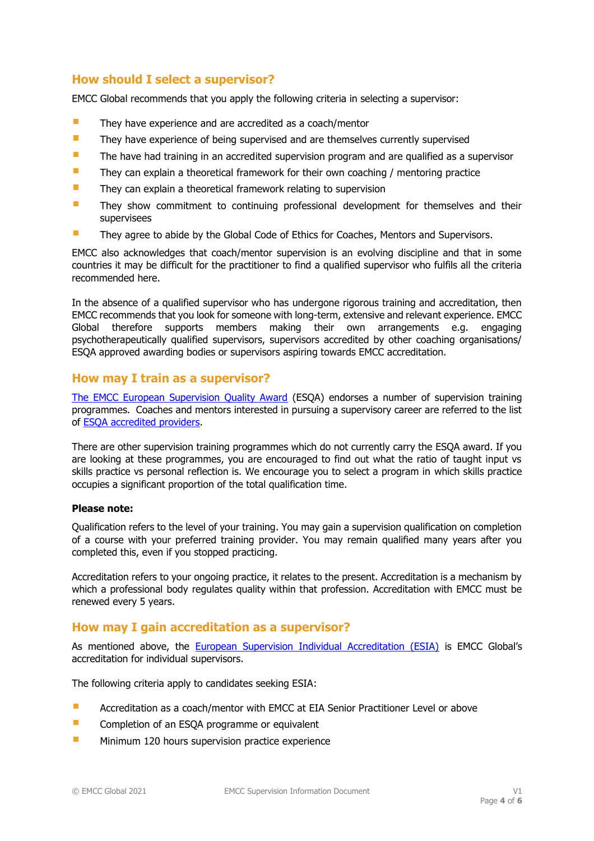## **How should I select a supervisor?**

EMCC Global recommends that you apply the following criteria in selecting a supervisor:

- $\mathcal{L}_{\mathcal{A}}$ They have experience and are accredited as a coach/mentor
- $\overline{\phantom{a}}$ They have experience of being supervised and are themselves currently supervised
- П The have had training in an accredited supervision program and are qualified as a supervisor
- $\overline{\phantom{a}}$ They can explain a theoretical framework for their own coaching / mentoring practice
- г They can explain a theoretical framework relating to supervision
- П They show commitment to continuing professional development for themselves and their supervisees
- $\mathbf{r}$ They agree to abide by the Global Code of Ethics for Coaches, Mentors and Supervisors.

EMCC also acknowledges that coach/mentor supervision is an evolving discipline and that in some countries it may be difficult for the practitioner to find a qualified supervisor who fulfils all the criteria recommended here.

In the absence of a qualified supervisor who has undergone rigorous training and accreditation, then EMCC recommends that you look for someone with long-term, extensive and relevant experience. EMCC Global therefore supports members making their own arrangements e.g. engaging psychotherapeutically qualified supervisors, supervisors accredited by other coaching organisations/ ESQA approved awarding bodies or supervisors aspiring towards EMCC accreditation.

### **How may I train as a supervisor?**

[The EMCC European Supervision Quality Award](http://www.emccouncil.org/eu/en/accreditation/esqa) (ESQA) endorses a number of supervision training programmes. Coaches and mentors interested in pursuing a supervisory career are referred to the list of ESQA [accredited providers.](https://www.emccglobal.org/accreditation/esqa/esqa-awards/)

There are other supervision training programmes which do not currently carry the ESQA award. If you are looking at these programmes, you are encouraged to find out what the ratio of taught input vs skills practice vs personal reflection is. We encourage you to select a program in which skills practice occupies a significant proportion of the total qualification time.

#### **Please note:**

Qualification refers to the level of your training. You may gain a supervision qualification on completion of a course with your preferred training provider. You may remain qualified many years after you completed this, even if you stopped practicing.

Accreditation refers to your ongoing practice, it relates to the present. Accreditation is a mechanism by which a professional body regulates quality within that profession. Accreditation with EMCC must be renewed every 5 years.

### **How may I gain accreditation as a supervisor?**

As mentioned above, the [European Supervision Individual Accreditation \(ESIA\)](http://www.emccouncil.org/eu/en/accreditation/esia) is EMCC Global's accreditation for individual supervisors.

The following criteria apply to candidates seeking ESIA:

- $\overline{\phantom{a}}$ Accreditation as a coach/mentor with EMCC at EIA Senior Practitioner Level or above
- $\mathbf{r}$ Completion of an ESQA programme or equivalent
- $\overline{\phantom{a}}$ Minimum 120 hours supervision practice experience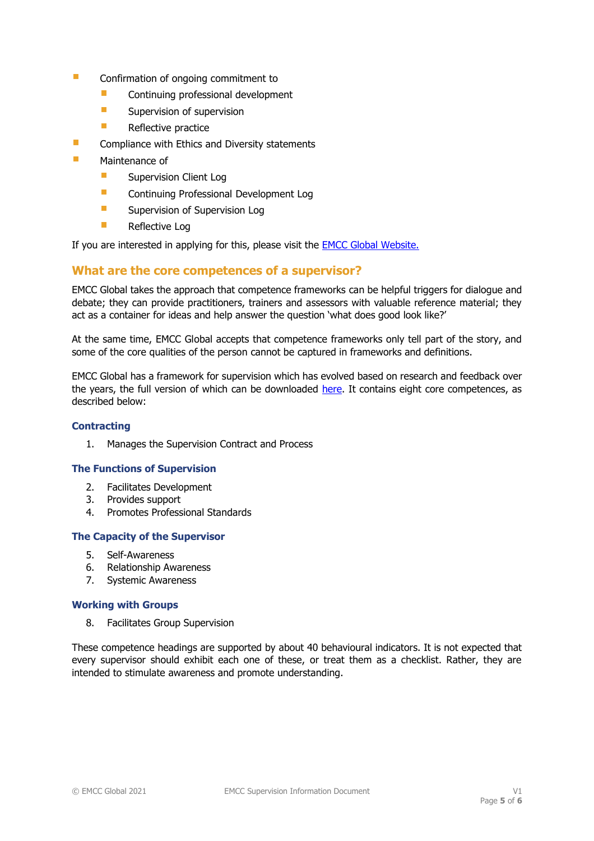- $\overline{\phantom{a}}$ Confirmation of ongoing commitment to
	- × Continuing professional development
	- Ē, Supervision of supervision
	- × Reflective practice
- П Compliance with Ethics and Diversity statements
- F Maintenance of
	- п Supervision Client Log
	- Ē. Continuing Professional Development Log
	- $\Box$ Supervision of Supervision Log
	- × Reflective Log

If you are interested in applying for this, please visit the **EMCC Global Website.** 

## **What are the core competences of a supervisor?**

EMCC Global takes the approach that competence frameworks can be helpful triggers for dialogue and debate; they can provide practitioners, trainers and assessors with valuable reference material; they act as a container for ideas and help answer the question 'what does good look like?'

At the same time, EMCC Global accepts that competence frameworks only tell part of the story, and some of the core qualities of the person cannot be captured in frameworks and definitions.

EMCC Global has a framework for supervision which has evolved based on research and feedback over the years, the full version of which can be downloaded [here.](https://www.emccbooks.org/product/supervision-competences) It contains eight core competences, as described below:

### **Contracting**

1. Manages the Supervision Contract and Process

### **The Functions of Supervision**

- 2. Facilitates Development
- 3. Provides support
- 4. Promotes Professional Standards

### **The Capacity of the Supervisor**

- 5. Self-Awareness
- 6. Relationship Awareness
- 7. Systemic Awareness

### **Working with Groups**

8. Facilitates Group Supervision

These competence headings are supported by about 40 behavioural indicators. It is not expected that every supervisor should exhibit each one of these, or treat them as a checklist. Rather, they are intended to stimulate awareness and promote understanding.